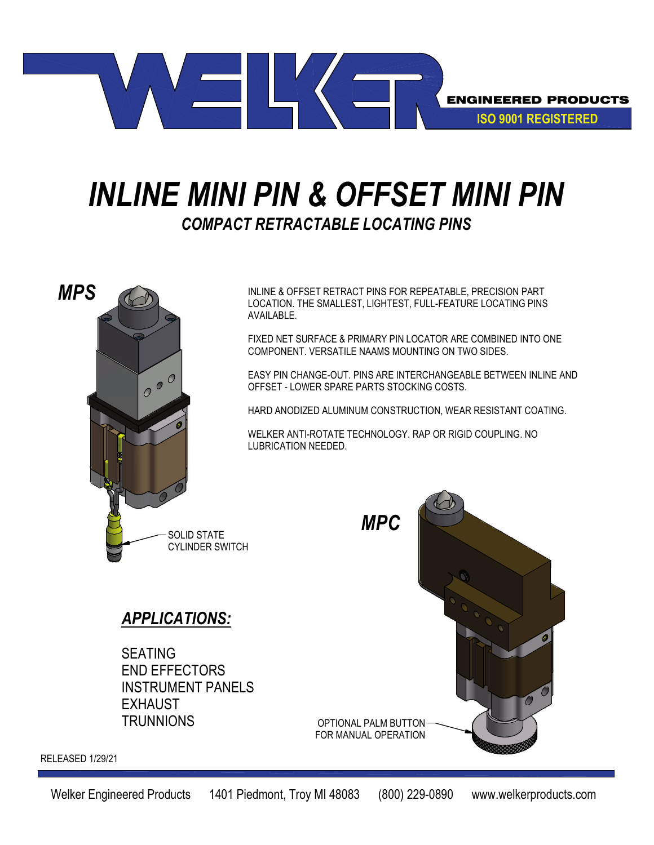

## *INLINE MINI PIN & OFFSET MINI PIN COMPACT RETRACTABLE LOCATING PINS*



INLINE & OFFSET RETRACT PINS FOR REPEATABLE, PRECISION PART LOCATION. THE SMALLEST, LIGHTEST, FULL-FEATURE LOCATING PINS AVAILABLE.

FIXED NET SURFACE & PRIMARY PIN LOCATOR ARE COMBINED INTO ONE COMPONENT. VERSATILE NAAMS MOUNTING ON TWO SIDES.

EASY PIN CHANGE-OUT. PINS ARE INTERCHANGEABLE BETWEEN INLINE AND OFFSET - LOWER SPARE PARTS STOCKING COSTS.

HARD ANODIZED ALUMINUM CONSTRUCTION, WEAR RESISTANT COATING.

WELKER ANTI-ROTATE TECHNOLOGY. RAP OR RIGID COUPLING. NO LUBRICATION NEEDED.

## *APPLICATIONS:*

SEATING END EFFECTORS INSTRUMENT PANELS EXHAUST **TRUNNIONS** 



RELEASED 1/29/21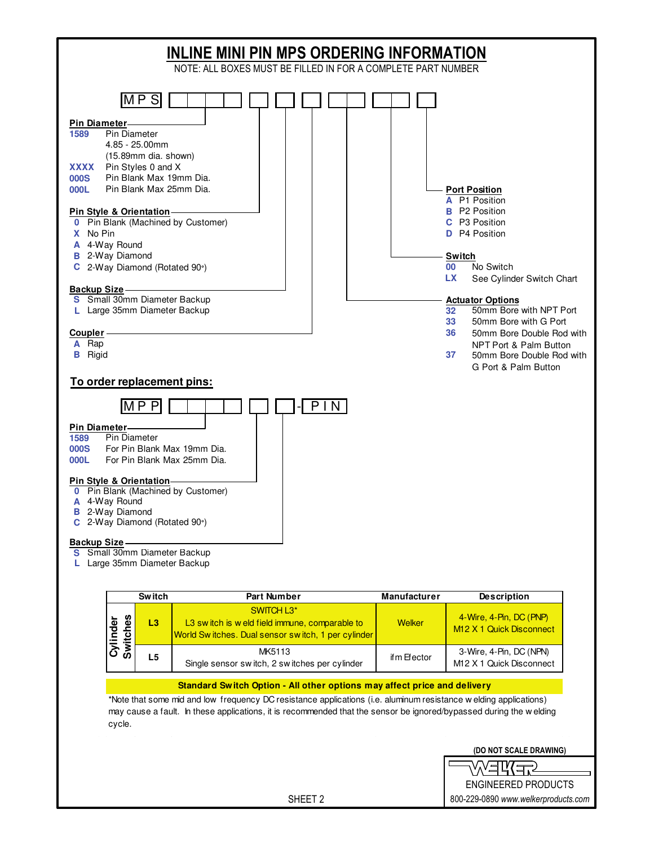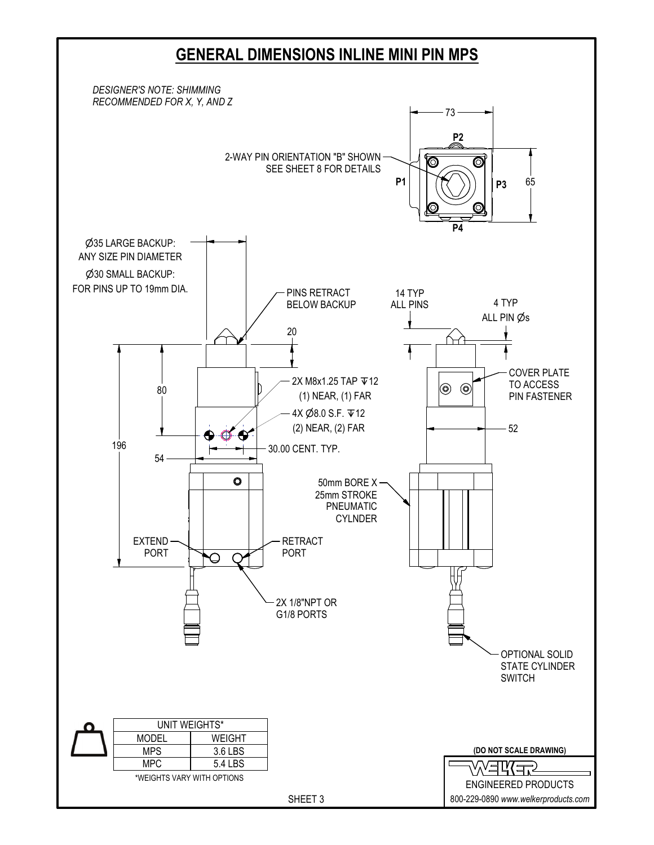## **GENERAL DIMENSIONS INLINE MINI PIN MPS**

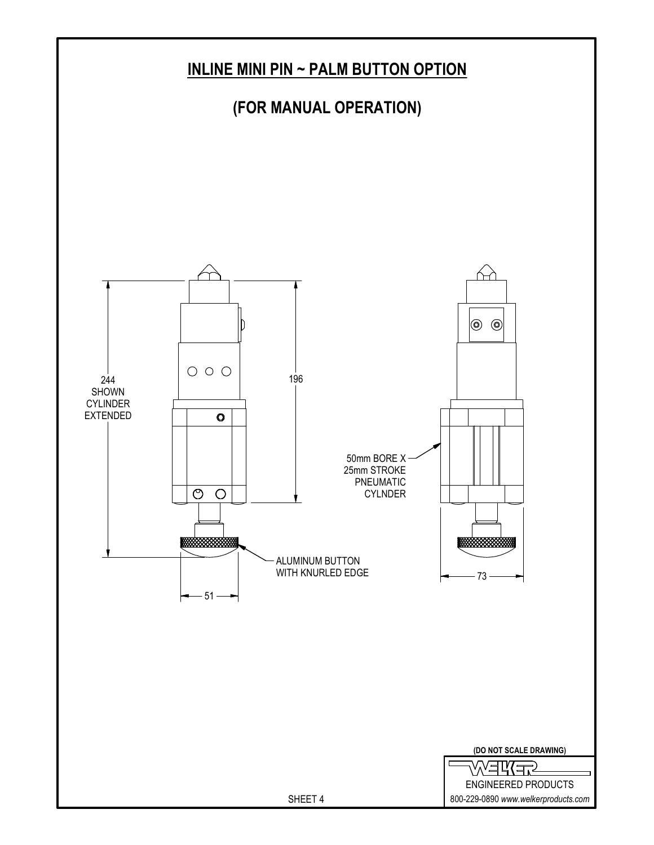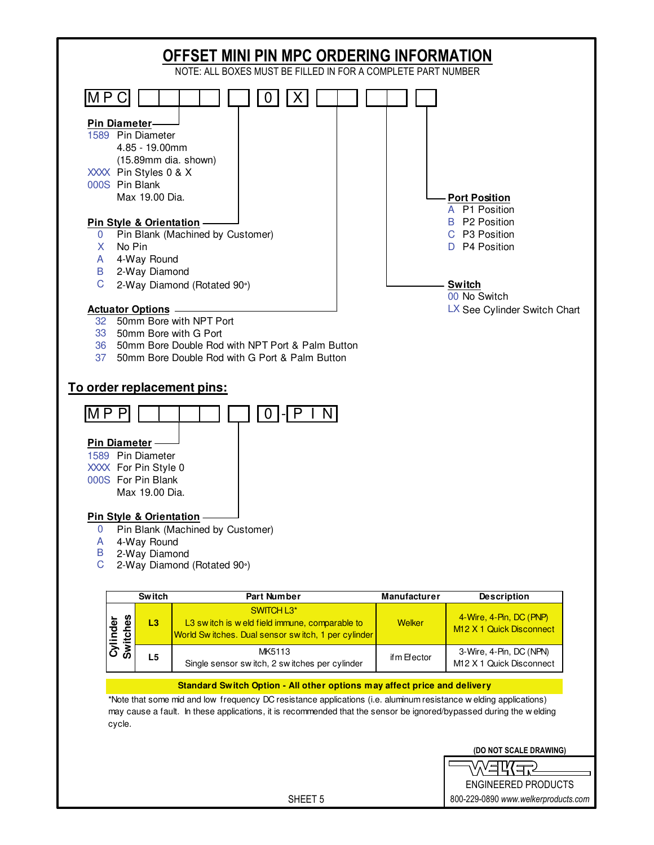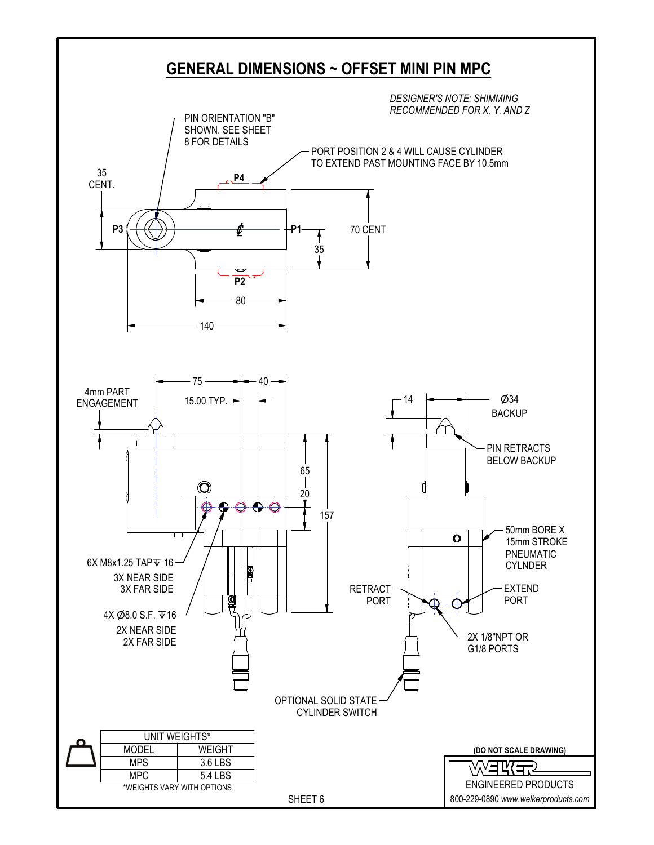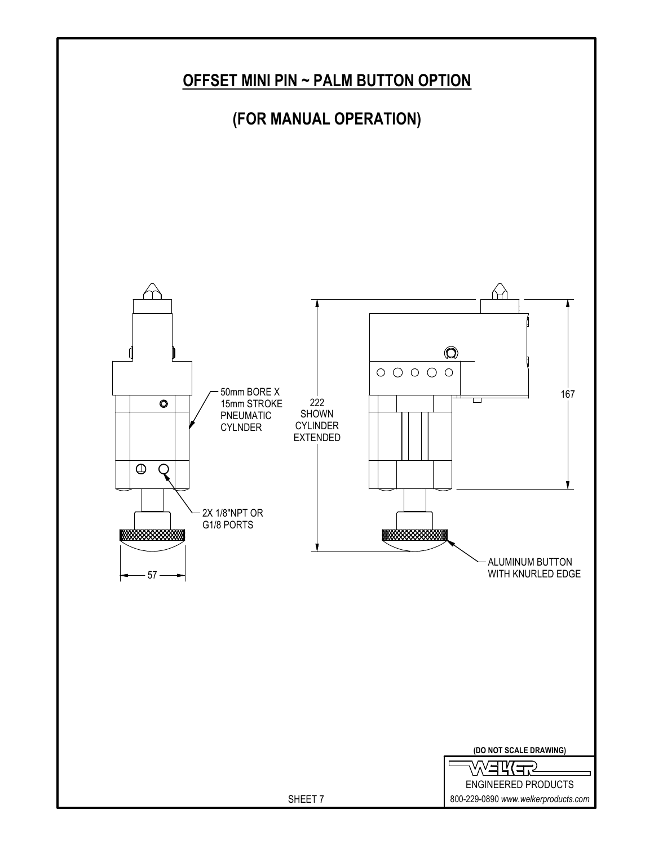